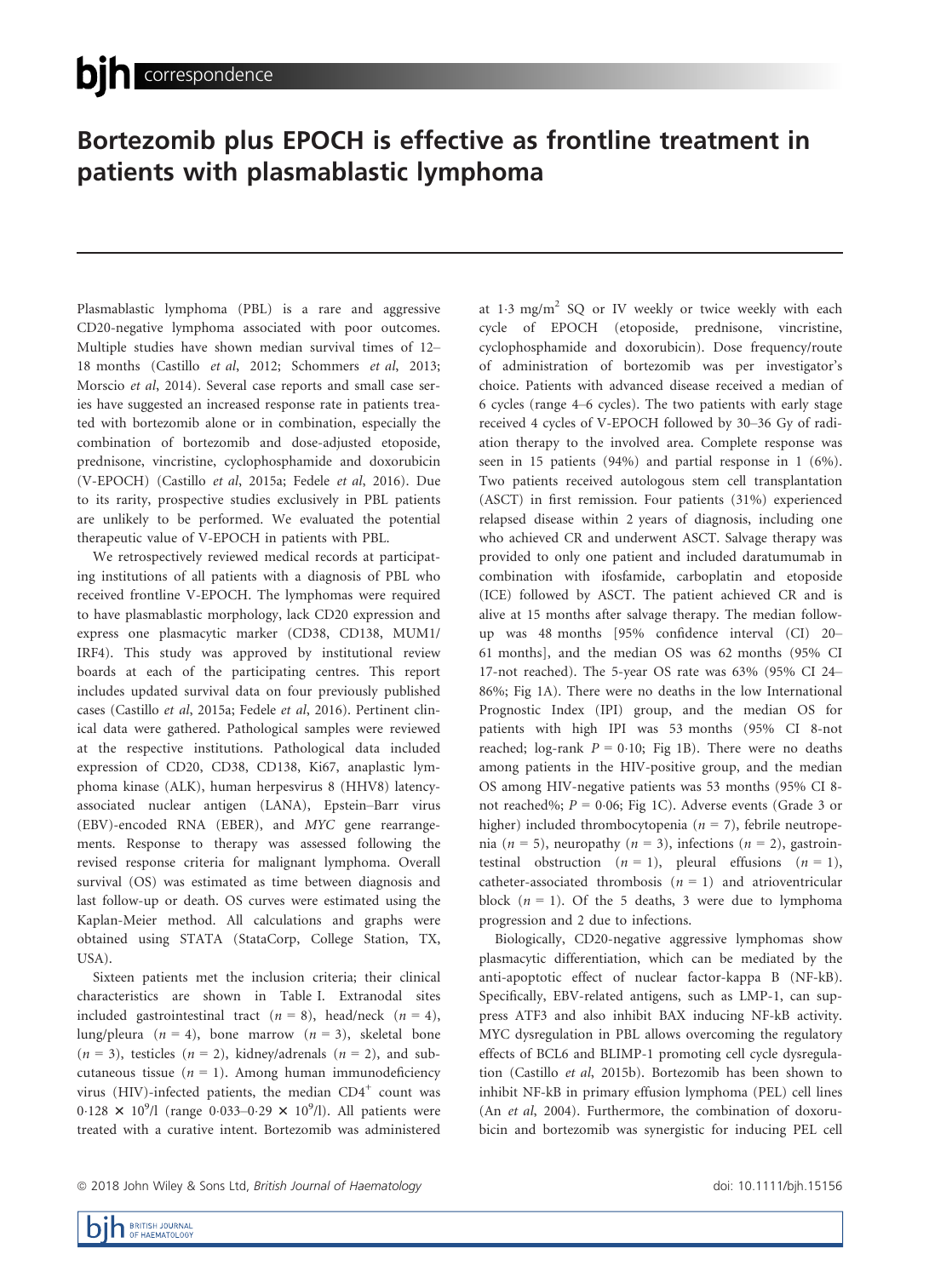# Bortezomib plus EPOCH is effective as frontline treatment in patients with plasmablastic lymphoma

Plasmablastic lymphoma (PBL) is a rare and aggressive CD20-negative lymphoma associated with poor outcomes. Multiple studies have shown median survival times of 12– 18 months (Castillo et al, 2012; Schommers et al, 2013; Morscio et al, 2014). Several case reports and small case series have suggested an increased response rate in patients treated with bortezomib alone or in combination, especially the combination of bortezomib and dose-adjusted etoposide, prednisone, vincristine, cyclophosphamide and doxorubicin (V-EPOCH) (Castillo et al, 2015a; Fedele et al, 2016). Due to its rarity, prospective studies exclusively in PBL patients are unlikely to be performed. We evaluated the potential therapeutic value of V-EPOCH in patients with PBL.

We retrospectively reviewed medical records at participating institutions of all patients with a diagnosis of PBL who received frontline V-EPOCH. The lymphomas were required to have plasmablastic morphology, lack CD20 expression and express one plasmacytic marker (CD38, CD138, MUM1/ IRF4). This study was approved by institutional review boards at each of the participating centres. This report includes updated survival data on four previously published cases (Castillo et al, 2015a; Fedele et al, 2016). Pertinent clinical data were gathered. Pathological samples were reviewed at the respective institutions. Pathological data included expression of CD20, CD38, CD138, Ki67, anaplastic lymphoma kinase (ALK), human herpesvirus 8 (HHV8) latencyassociated nuclear antigen (LANA), Epstein–Barr virus (EBV)-encoded RNA (EBER), and MYC gene rearrangements. Response to therapy was assessed following the revised response criteria for malignant lymphoma. Overall survival (OS) was estimated as time between diagnosis and last follow-up or death. OS curves were estimated using the Kaplan-Meier method. All calculations and graphs were obtained using STATA (StataCorp, College Station, TX, USA).

Sixteen patients met the inclusion criteria; their clinical characteristics are shown in Table I. Extranodal sites included gastrointestinal tract ( $n = 8$ ), head/neck ( $n = 4$ ), lung/pleura ( $n = 4$ ), bone marrow ( $n = 3$ ), skeletal bone  $(n = 3)$ , testicles  $(n = 2)$ , kidney/adrenals  $(n = 2)$ , and subcutaneous tissue ( $n = 1$ ). Among human immunodeficiency virus (HIV)-infected patients, the median  $CD4^+$  count was 0.128  $\times$  10<sup>9</sup>/l (range 0.033–0.29  $\times$  10<sup>9</sup>/l). All patients were treated with a curative intent. Bortezomib was administered at  $1.3 \text{ mg/m}^2$  SQ or IV weekly or twice weekly with each cycle of EPOCH (etoposide, prednisone, vincristine, cyclophosphamide and doxorubicin). Dose frequency/route of administration of bortezomib was per investigator's choice. Patients with advanced disease received a median of 6 cycles (range 4–6 cycles). The two patients with early stage received 4 cycles of V-EPOCH followed by 30–36 Gy of radiation therapy to the involved area. Complete response was seen in 15 patients (94%) and partial response in 1 (6%). Two patients received autologous stem cell transplantation (ASCT) in first remission. Four patients (31%) experienced relapsed disease within 2 years of diagnosis, including one who achieved CR and underwent ASCT. Salvage therapy was provided to only one patient and included daratumumab in combination with ifosfamide, carboplatin and etoposide (ICE) followed by ASCT. The patient achieved CR and is alive at 15 months after salvage therapy. The median followup was 48 months [95% confidence interval (CI) 20– 61 months], and the median OS was 62 months (95% CI 17-not reached). The 5-year OS rate was 63% (95% CI 24– 86%; Fig 1A). There were no deaths in the low International Prognostic Index (IPI) group, and the median OS for patients with high IPI was 53 months (95% CI 8-not reached; log-rank  $P = 0.10$ ; Fig 1B). There were no deaths among patients in the HIV-positive group, and the median OS among HIV-negative patients was 53 months (95% CI 8 not reached%;  $P = 0.06$ ; Fig 1C). Adverse events (Grade 3 or higher) included thrombocytopenia ( $n = 7$ ), febrile neutropenia (*n* = 5), neuropathy (*n* = 3), infections (*n* = 2), gastrointestinal obstruction  $(n = 1)$ , pleural effusions  $(n = 1)$ , catheter-associated thrombosis  $(n = 1)$  and atrioventricular block  $(n = 1)$ . Of the 5 deaths, 3 were due to lymphoma progression and 2 due to infections.

Biologically, CD20-negative aggressive lymphomas show plasmacytic differentiation, which can be mediated by the anti-apoptotic effect of nuclear factor-kappa B (NF-kB). Specifically, EBV-related antigens, such as LMP-1, can suppress ATF3 and also inhibit BAX inducing NF-kB activity. MYC dysregulation in PBL allows overcoming the regulatory effects of BCL6 and BLIMP-1 promoting cell cycle dysregulation (Castillo et al, 2015b). Bortezomib has been shown to inhibit NF-kB in primary effusion lymphoma (PEL) cell lines (An et al, 2004). Furthermore, the combination of doxorubicin and bortezomib was synergistic for inducing PEL cell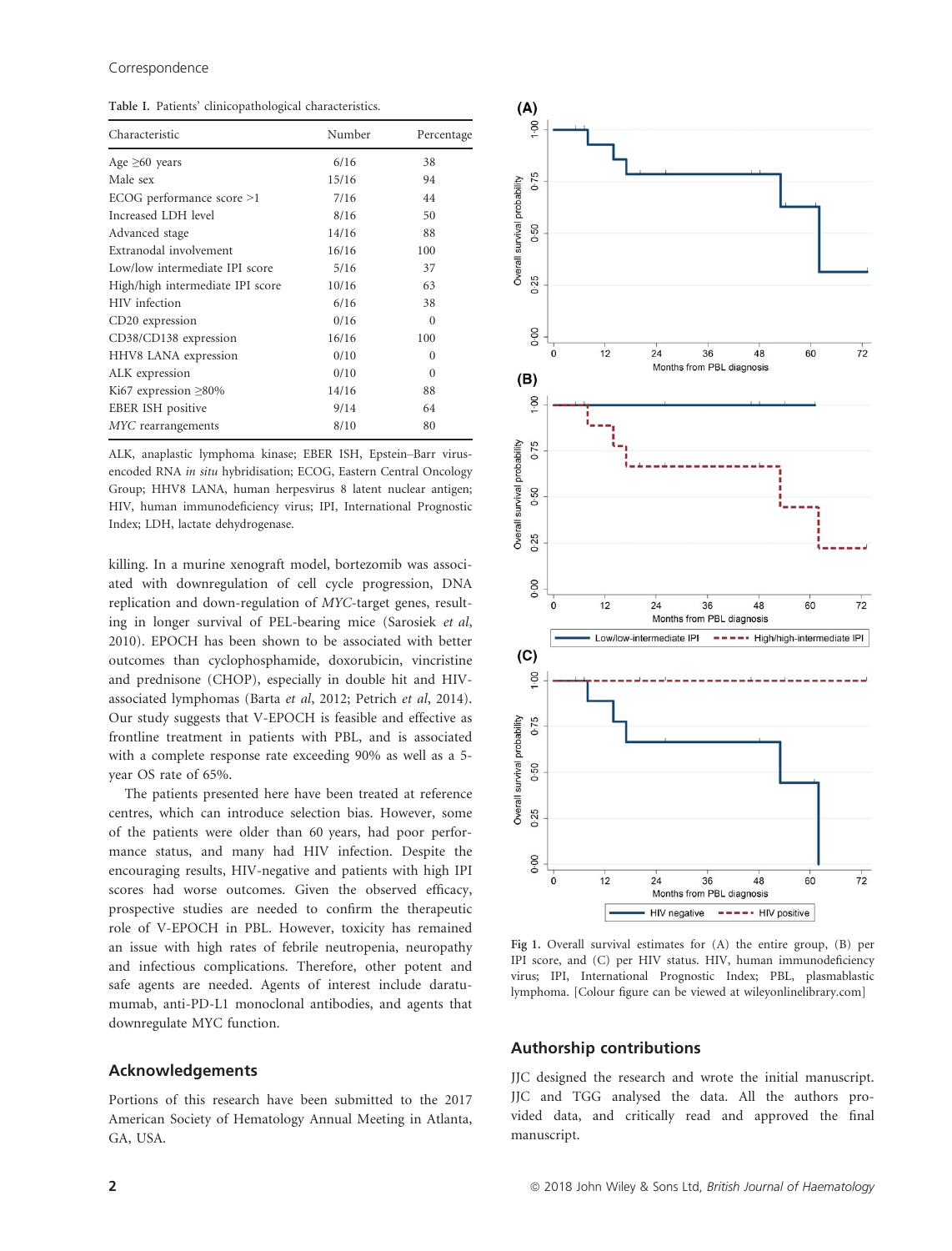Table I. Patients' clinicopathological characteristics.

| Characteristic                   | Number | Percentage |
|----------------------------------|--------|------------|
| Age $\geq 60$ years              | 6/16   | 38         |
| Male sex                         | 15/16  | 94         |
| ECOG performance score >1        | 7/16   | 44         |
| Increased LDH level              | 8/16   | 50         |
| Advanced stage                   | 14/16  | 88         |
| Extranodal involvement           | 16/16  | 100        |
| Low/low intermediate IPI score   | 5/16   | 37         |
| High/high intermediate IPI score | 10/16  | 63         |
| HIV infection                    | 6/16   | 38         |
| CD20 expression                  | 0/16   | 0          |
| CD38/CD138 expression            | 16/16  | 100        |
| HHV8 LANA expression             | 0/10   | 0          |
| ALK expression                   | 0/10   | 0          |
| Ki67 expression $\geq$ 80%       | 14/16  | 88         |
| EBER ISH positive                | 9/14   | 64         |
| MYC rearrangements               | 8/10   | 80         |
|                                  |        |            |

ALK, anaplastic lymphoma kinase; EBER ISH, Epstein–Barr virusencoded RNA in situ hybridisation; ECOG, Eastern Central Oncology Group; HHV8 LANA, human herpesvirus 8 latent nuclear antigen; HIV, human immunodeficiency virus; IPI, International Prognostic Index; LDH, lactate dehydrogenase.

killing. In a murine xenograft model, bortezomib was associated with downregulation of cell cycle progression, DNA replication and down-regulation of MYC-target genes, resulting in longer survival of PEL-bearing mice (Sarosiek et al, 2010). EPOCH has been shown to be associated with better outcomes than cyclophosphamide, doxorubicin, vincristine and prednisone (CHOP), especially in double hit and HIVassociated lymphomas (Barta et al, 2012; Petrich et al, 2014). Our study suggests that V-EPOCH is feasible and effective as frontline treatment in patients with PBL, and is associated with a complete response rate exceeding 90% as well as a 5 year OS rate of 65%.

The patients presented here have been treated at reference centres, which can introduce selection bias. However, some of the patients were older than 60 years, had poor performance status, and many had HIV infection. Despite the encouraging results, HIV-negative and patients with high IPI scores had worse outcomes. Given the observed efficacy, prospective studies are needed to confirm the therapeutic role of V-EPOCH in PBL. However, toxicity has remained an issue with high rates of febrile neutropenia, neuropathy and infectious complications. Therefore, other potent and safe agents are needed. Agents of interest include daratumumab, anti-PD-L1 monoclonal antibodies, and agents that downregulate MYC function.

### Acknowledgements

Portions of this research have been submitted to the 2017 American Society of Hematology Annual Meeting in Atlanta, GA, USA.



Fig 1. Overall survival estimates for (A) the entire group, (B) per IPI score, and (C) per HIV status. HIV, human immunodeficiency virus; IPI, International Prognostic Index; PBL, plasmablastic lymphoma. [Colour figure can be viewed at wileyonlinelibrary.com]

# Authorship contributions

JJC designed the research and wrote the initial manuscript. JJC and TGG analysed the data. All the authors provided data, and critically read and approved the final manuscript.